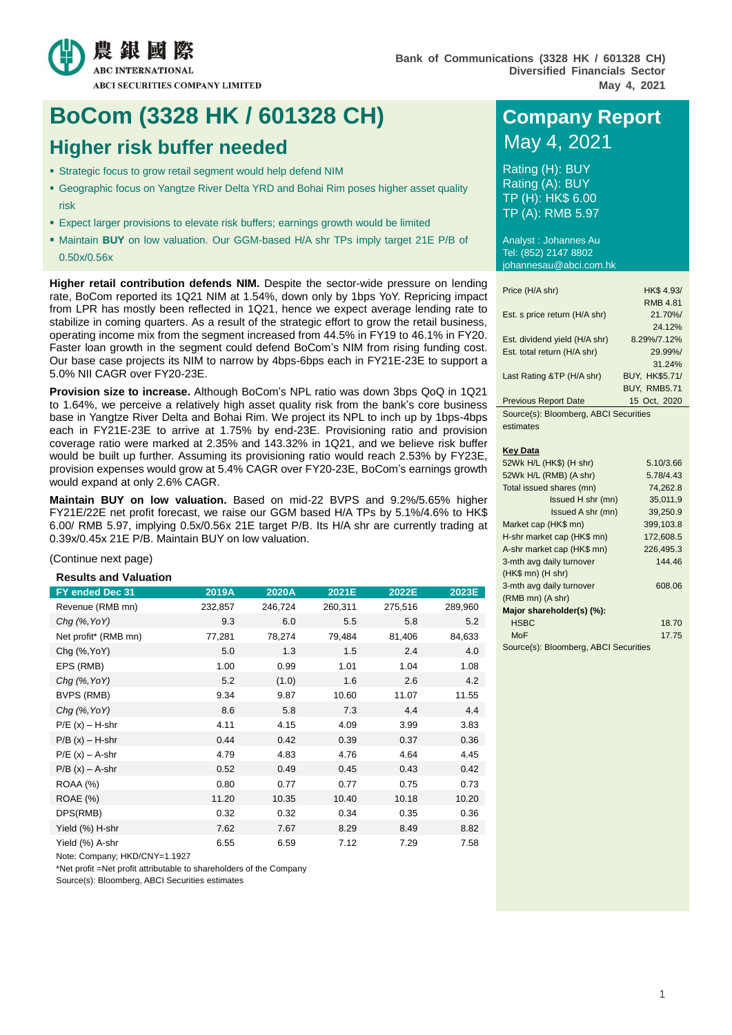

# **BoCom (3328 HK / 601328 CH) Company Report**

# **Higher risk buffer needed** May 4, 2021

- Strategic focus to grow retail segment would help defend NIM
- Geographic focus on Yangtze River Delta YRD and Bohai Rim poses higher asset quality risk
- Expect larger provisions to elevate risk buffers; earnings growth would be limited
- Maintain **BUY** on low valuation. Our GGM-based H/A shr TPs imply target 21E P/B of 0.50x/0.56x

**Higher retail contribution defends NIM.** Despite the sector-wide pressure on lending rate, BoCom reported its 1Q21 NIM at 1.54%, down only by 1bps YoY. Repricing impact from LPR has mostly been reflected in 1Q21, hence we expect average lending rate to stabilize in coming quarters. As a result of the strategic effort to grow the retail business, operating income mix from the segment increased from 44.5% in FY19 to 46.1% in FY20. Faster loan growth in the segment could defend BoCom's NIM from rising funding cost. Our base case projects its NIM to narrow by 4bps-6bps each in FY21E-23E to support a 5.0% NII CAGR over FY20-23E.

**Provision size to increase.** Although BoCom's NPL ratio was down 3bps QoQ in 1Q21 to 1.64%, we perceive a relatively high asset quality risk from the bank's core business base in Yangtze River Delta and Bohai Rim. We project its NPL to inch up by 1bps-4bps each in FY21E-23E to arrive at 1.75% by end-23E. Provisioning ratio and provision coverage ratio were marked at 2.35% and 143.32% in 1Q21, and we believe risk buffer would be built up further. Assuming its provisioning ratio would reach 2.53% by FY23E, provision expenses would grow at 5.4% CAGR over FY20-23E, BoCom's earnings growth would expand at only 2.6% CAGR.

**Maintain BUY on low valuation.** Based on mid-22 BVPS and 9.2%/5.65% higher FY21E/22E net profit forecast, we raise our GGM based H/A TPs by 5.1%/4.6% to HK\$ 6.00/ RMB 5.97, implying 0.5x/0.56x 21E target P/B. Its H/A shr are currently trading at 0.39x/0.45x 21E P/B. Maintain BUY on low valuation.

#### (Continue next page)

**Results and Valuation**

| FY ended Dec 31      | 2019A   | 2020A   | 2021E   | 2022E   | 2023E   |
|----------------------|---------|---------|---------|---------|---------|
| Revenue (RMB mn)     | 232,857 | 246,724 | 260,311 | 275,516 | 289,960 |
| $Chq$ (%, YoY)       | 9.3     | 6.0     | 5.5     | 5.8     | 5.2     |
| Net profit* (RMB mn) | 77,281  | 78,274  | 79,484  | 81,406  | 84,633  |
| Chg (%, YoY)         | 5.0     | 1.3     | 1.5     | 2.4     | 4.0     |
| EPS (RMB)            | 1.00    | 0.99    | 1.01    | 1.04    | 1.08    |
| Chg (%, YoY)         | 5.2     | (1.0)   | 1.6     | 2.6     | 4.2     |
| BVPS (RMB)           | 9.34    | 9.87    | 10.60   | 11.07   | 11.55   |
| $Chq$ (%, YoY)       | 8.6     | 5.8     | 7.3     | 4.4     | 4.4     |
| $P/E(x) - H-shr$     | 4.11    | 4.15    | 4.09    | 3.99    | 3.83    |
| $P/B(x) - H-shr$     | 0.44    | 0.42    | 0.39    | 0.37    | 0.36    |
| $P/E(x) - A-shr$     | 4.79    | 4.83    | 4.76    | 4.64    | 4.45    |
| $P/B(x) - A-shr$     | 0.52    | 0.49    | 0.45    | 0.43    | 0.42    |
| ROAA (%)             | 0.80    | 0.77    | 0.77    | 0.75    | 0.73    |
| ROAE (%)             | 11.20   | 10.35   | 10.40   | 10.18   | 10.20   |
| DPS(RMB)             | 0.32    | 0.32    | 0.34    | 0.35    | 0.36    |
| Yield (%) H-shr      | 7.62    | 7.67    | 8.29    | 8.49    | 8.82    |
| Yield (%) A-shr      | 6.55    | 6.59    | 7.12    | 7.29    | 7.58    |

Note: Company; HKD/CNY=1.1927

\*Net profit =Net profit attributable to shareholders of the Company

Source(s): Bloomberg, ABCI Securities estimates

Rating (H): BUY Rating (A): BUY TP (H): HK\$ 6.00 TP (A): RMB 5.97

Analyst : Johannes Au Tel: (852) 2147 8802 johannesau@abci.com.hk

| Price (H/A shr)               | HK\$ 4.93/            |
|-------------------------------|-----------------------|
|                               | <b>RMB 4.81</b>       |
| Est. s price return (H/A shr) | 21.70%/               |
|                               | 24.12%                |
| Est. dividend yield (H/A shr) | 8.29%/7.12%           |
| Est. total return (H/A shr)   | 29.99%/               |
|                               | 31.24%                |
| Last Rating &TP (H/A shr)     | <b>BUY, HK\$5.71/</b> |
|                               | <b>BUY, RMB5.71</b>   |
| <b>Previous Report Date</b>   | 15 Oct, 2020          |
|                               |                       |

Source(s): Bloomberg, ABCI Securities estimates

#### **Key Data**

| 52Wk H/L (HK\$) (H shr)             | 5.10/3.66 |
|-------------------------------------|-----------|
| 52Wk H/L (RMB) (A shr)              | 5.78/4.43 |
| Total issued shares (mn)            | 74,262.8  |
| Issued H shr (mn)                   | 35.011.9  |
| Issued A shr (mn)                   | 39,250.9  |
| Market cap (HK\$ mn)                | 399,103.8 |
| H-shr market cap (HK\$ mn)          | 172,608.5 |
| A-shr market cap (HK\$ mn)          | 226,495.3 |
| 3-mth avg daily turnover            | 144.46    |
| $(HK$$ mn) $(H$ shr)                |           |
| 3-mth avg daily turnover            | 608.06    |
| (RMB mn) (A shr)                    |           |
| Major shareholder(s) (%):           |           |
| <b>HSBC</b>                         | 18.70     |
| MoF                                 | 17.75     |
| Couragle): Dloambarg, ADOLCaquitica |           |

Source(s): Bloomberg, ABCI Securities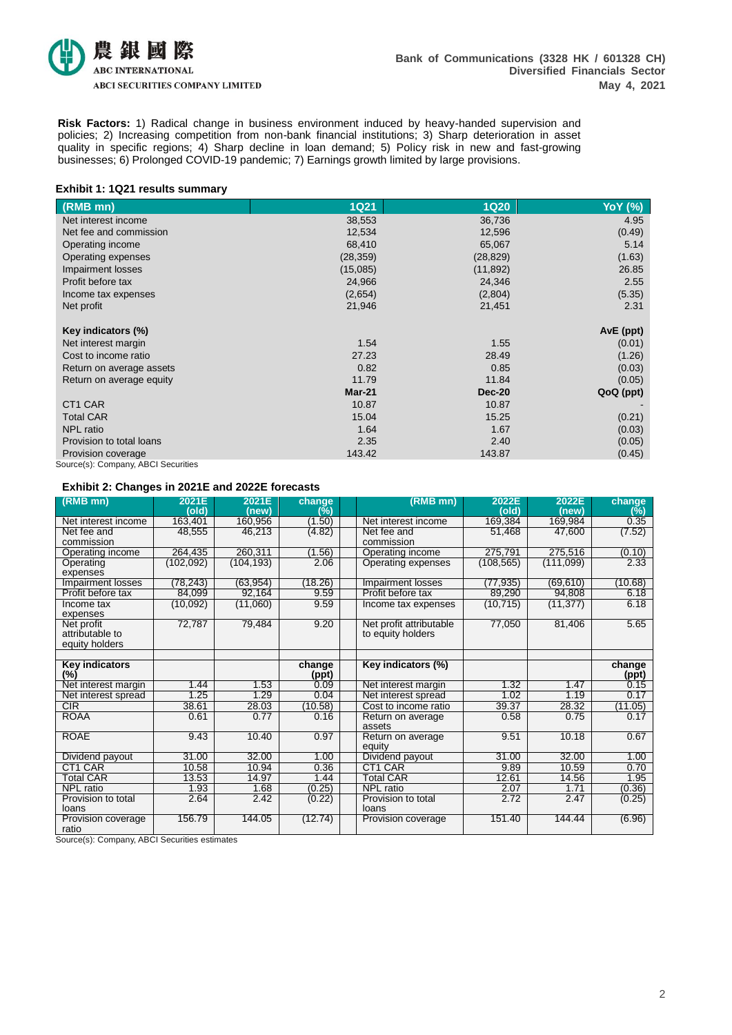

**Risk Factors:** 1) Radical change in business environment induced by heavy-handed supervision and policies; 2) Increasing competition from non-bank financial institutions; 3) Sharp deterioration in asset quality in specific regions; 4) Sharp decline in loan demand; 5) Policy risk in new and fast-growing businesses; 6) Prolonged COVID-19 pandemic; 7) Earnings growth limited by large provisions.

#### **Exhibit 1: 1Q21 results summary**

| (RMB mn)                            | <b>1Q21</b> | <b>1Q20</b>   | <b>YoY</b> (%) |
|-------------------------------------|-------------|---------------|----------------|
| Net interest income                 | 38,553      | 36,736        | 4.95           |
| Net fee and commission              | 12,534      | 12,596        | (0.49)         |
| Operating income                    | 68,410      | 65,067        | 5.14           |
| Operating expenses                  | (28, 359)   | (28, 829)     | (1.63)         |
| Impairment losses                   | (15,085)    | (11, 892)     | 26.85          |
| Profit before tax                   | 24,966      | 24,346        | 2.55           |
| Income tax expenses                 | (2,654)     | (2,804)       | (5.35)         |
| Net profit                          | 21,946      | 21,451        | 2.31           |
| Key indicators (%)                  |             |               | AvE (ppt)      |
| Net interest margin                 | 1.54        | 1.55          | (0.01)         |
| Cost to income ratio                | 27.23       | 28.49         | (1.26)         |
| Return on average assets            | 0.82        | 0.85          | (0.03)         |
| Return on average equity            | 11.79       | 11.84         | (0.05)         |
|                                     | $Mar-21$    | <b>Dec-20</b> | QoQ (ppt)      |
| CT <sub>1</sub> CAR                 | 10.87       | 10.87         |                |
| <b>Total CAR</b>                    | 15.04       | 15.25         | (0.21)         |
| <b>NPL</b> ratio                    | 1.64        | 1.67          | (0.03)         |
| Provision to total loans            | 2.35        | 2.40          | (0.05)         |
| Provision coverage                  | 143.42      | 143.87        | (0.45)         |
| Source(s): Company, ABCI Securities |             |               |                |

#### **Exhibit 2: Changes in 2021E and 2022E forecasts**

| $(RMB$ mn)                 | 2021E<br>(old) | 2021E<br>(new) | change<br>(%) | (RMB mn)                                    | 2022E<br>(old) | 2022E<br>(new)             | change<br>(%)   |
|----------------------------|----------------|----------------|---------------|---------------------------------------------|----------------|----------------------------|-----------------|
| Net interest income        | 163,401        | 160,956        | (1.50)        | Net interest income                         | 169,384        | 169,984                    | 0.35            |
| Net fee and                | 48,555         | 46,213         | (4.82)        | Net fee and                                 | 51,468         | 47,600                     | (7.52)          |
| commission                 |                |                |               | commission                                  |                |                            |                 |
| Operating income           | 264,435        | 260,311        | (1.56)        | Operating income                            | 275,791        | 275,516                    | (0.10)          |
| Operating                  | (102, 092)     | (104, 193)     | 2.06          | Operating expenses                          | (108, 565)     | (111,099)                  | 2.33            |
| expenses                   |                |                |               |                                             |                |                            |                 |
| Impairment losses          | (78.243)       | (63.954)       | (18.26)       | <b>Impairment losses</b>                    | (77.935)       | (69.610)                   | (10.68)         |
| Profit before tax          | 84,099         | 92,164         | 9.59          | Profit before tax                           | 89,290         | 94,808                     | 6.18            |
| Income tax                 | (10,092)       | (11,060)       | 9.59          | <b>Income tax expenses</b>                  | (10, 715)      | (11, 377)                  | 6.18            |
| expenses                   |                |                |               |                                             |                |                            |                 |
| Net profit                 | 72,787         | 79,484         | 9.20          | Net profit attributable                     | 77,050         | 81,406                     | 5.65            |
| attributable to            |                |                |               | to equity holders                           |                |                            |                 |
| equity holders             |                |                |               |                                             |                |                            |                 |
|                            |                |                |               |                                             |                |                            |                 |
| <b>Key indicators</b>      |                |                | change        | Key indicators (%)                          |                |                            | change          |
| $(\%)$                     | 1.44           | 1.53           | (ppt)<br>0.09 |                                             | 1.32           | 1.47                       | (ppt)<br>0.15   |
| Net interest margin        |                |                | 0.04          | Net interest margin                         |                |                            |                 |
| Net interest spread<br>CIR | 1.25<br>38.61  | 1.29<br>28.03  | (10.58)       | Net interest spread<br>Cost to income ratio | 1.02<br>39.37  | 1.19<br>$28.\overline{32}$ | 0.17            |
| <b>ROAA</b>                | 0.61           | 0.77           | 0.16          |                                             | 0.58           | 0.75                       | (11.05)<br>0.17 |
|                            |                |                |               | Return on average<br>assets                 |                |                            |                 |
| <b>ROAE</b>                | 9.43           | 10.40          | 0.97          | Return on average                           | 9.51           | 10.18                      | 0.67            |
|                            |                |                |               | equity                                      |                |                            |                 |
| Dividend payout            | 31.00          | 32.00          | 1.00          | Dividend payout                             | 31.00          | 32.00                      | 1.00            |
| CT1 CAR                    | 10.58          | 10.94          | 0.36          | CT1 CAR                                     | 9.89           | 10.59                      | 0.70            |
| Total CAR                  | 13.53          | 14.97          | 1.44          | Total CAR                                   | 12.61          | 14.56                      | 1.95            |
| <b>NPL</b> ratio           | 1.93           | 1.68           | (0.25)        | <b>NPL</b> ratio                            | 2.07           | 1.71                       | (0.36)          |
| Provision to total         | 2.64           | 2.42           | (0.22)        | Provision to total                          | 2.72           | 2.47                       | (0.25)          |
| loans                      |                |                |               | loans                                       |                |                            |                 |
| Provision coverage         | 156.79         | 144.05         | (12.74)       | Provision coverage                          | 151.40         | 144.44                     | (6.96)          |
| ratio                      |                |                |               |                                             |                |                            |                 |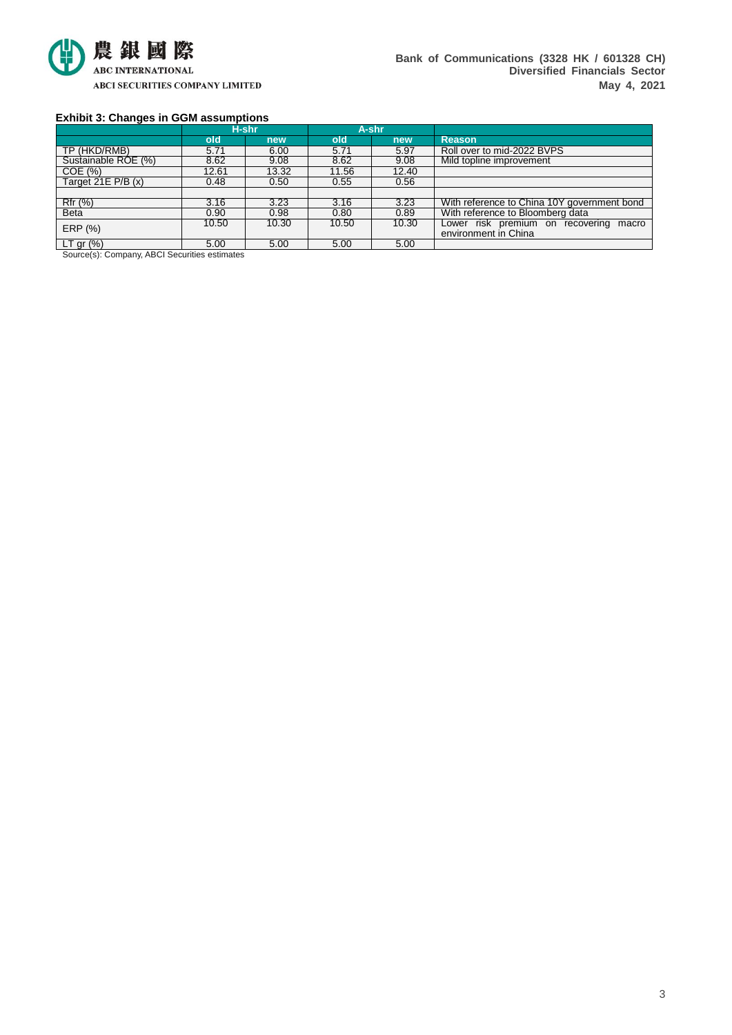

### **Exhibit 3: Changes in GGM assumptions**

|                                    |       | H-shr |       | A-shr |                                             |
|------------------------------------|-------|-------|-------|-------|---------------------------------------------|
|                                    | old   | new   | old   | new   | <b>Reason</b>                               |
| TP (HKD/RMB)                       | 5.71  | 6.00  | 5.71  | 5.97  | Roll over to mid-2022 BVPS                  |
| Sustainable ROE (%)                | 8.62  | 9.08  | 8.62  | 9.08  | Mild topline improvement                    |
| COE(%)                             | 12.61 | 13.32 | 11.56 | 12.40 |                                             |
| Target 21E $P/B(x)$                | 0.48  | 0.50  | 0.55  | 0.56  |                                             |
|                                    |       |       |       |       |                                             |
| Rfr (%)                            | 3.16  | 3.23  | 3.16  | 3.23  | With reference to China 10Y government bond |
| <b>Beta</b>                        | 0.90  | 0.98  | 0.80  | 0.89  | With reference to Bloomberg data            |
| ERP (%)                            | 10.50 | 10.30 | 10.50 | 10.30 | Lower risk premium on recovering<br>macro   |
|                                    |       |       |       |       | environment in China                        |
| LT gr $(\%)$<br>.<br>$\sim$ $   -$ | 5.00  | 5.00  | 5.00  | 5.00  |                                             |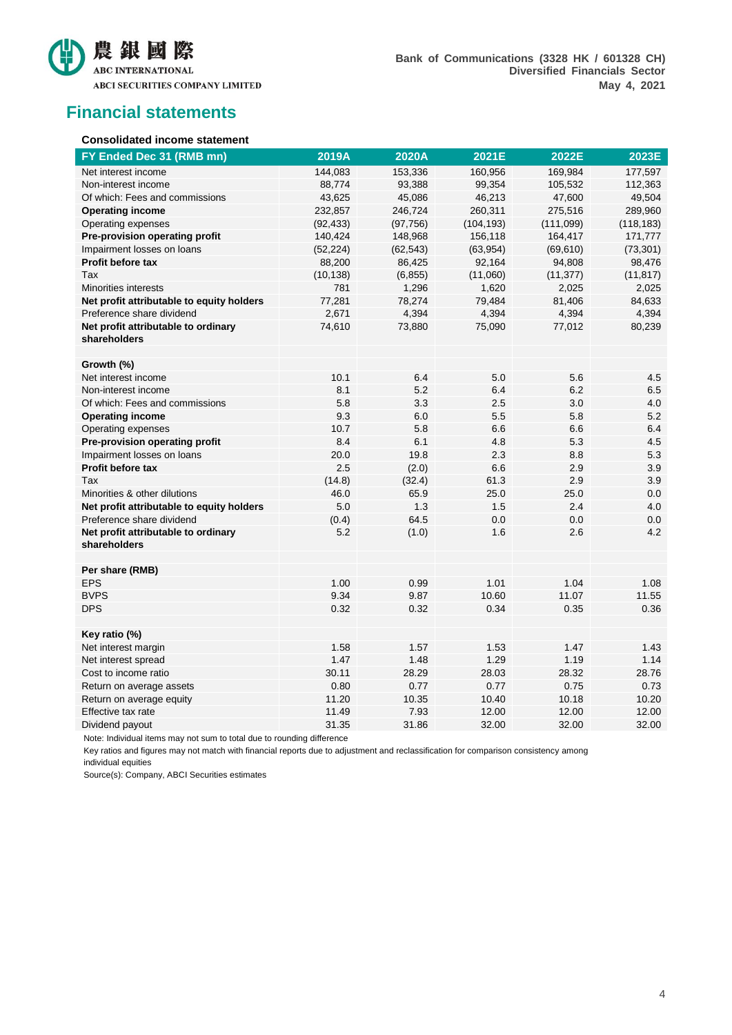

## **Financial statements**

#### **Consolidated income statement**

| FY Ended Dec 31 (RMB mn)                            | 2019A     | 2020A     | 2021E      | 2022E     | 2023E      |
|-----------------------------------------------------|-----------|-----------|------------|-----------|------------|
| Net interest income                                 | 144,083   | 153,336   | 160,956    | 169,984   | 177,597    |
| Non-interest income                                 | 88,774    | 93,388    | 99,354     | 105,532   | 112,363    |
| Of which: Fees and commissions                      | 43,625    | 45,086    | 46,213     | 47,600    | 49,504     |
| <b>Operating income</b>                             | 232,857   | 246,724   | 260,311    | 275,516   | 289,960    |
| Operating expenses                                  | (92, 433) | (97, 756) | (104, 193) | (111,099) | (118, 183) |
| Pre-provision operating profit                      | 140,424   | 148,968   | 156,118    | 164,417   | 171,777    |
| Impairment losses on loans                          | (52, 224) | (62, 543) | (63, 954)  | (69, 610) | (73, 301)  |
| <b>Profit before tax</b>                            | 88,200    | 86,425    | 92,164     | 94,808    | 98,476     |
| Tax                                                 | (10, 138) | (6, 855)  | (11,060)   | (11, 377) | (11, 817)  |
| <b>Minorities interests</b>                         | 781       | 1,296     | 1,620      | 2,025     | 2,025      |
| Net profit attributable to equity holders           | 77,281    | 78,274    | 79,484     | 81,406    | 84,633     |
| Preference share dividend                           | 2,671     | 4,394     | 4,394      | 4,394     | 4,394      |
| Net profit attributable to ordinary<br>shareholders | 74,610    | 73,880    | 75,090     | 77,012    | 80,239     |
| Growth (%)                                          |           |           |            |           |            |
| Net interest income                                 | 10.1      | 6.4       | 5.0        | 5.6       | 4.5        |
| Non-interest income                                 | 8.1       | 5.2       | 6.4        | 6.2       | 6.5        |
| Of which: Fees and commissions                      | 5.8       | 3.3       | 2.5        | 3.0       | 4.0        |
| <b>Operating income</b>                             | 9.3       | 6.0       | 5.5        | 5.8       | 5.2        |
| Operating expenses                                  | 10.7      | 5.8       | 6.6        | 6.6       | 6.4        |
| Pre-provision operating profit                      | 8.4       | 6.1       | 4.8        | 5.3       | 4.5        |
| Impairment losses on loans                          | 20.0      | 19.8      | 2.3        | 8.8       | 5.3        |
| Profit before tax                                   | 2.5       | (2.0)     | 6.6        | 2.9       | 3.9        |
| Tax                                                 | (14.8)    | (32.4)    | 61.3       | 2.9       | 3.9        |
| Minorities & other dilutions                        | 46.0      | 65.9      | 25.0       | 25.0      | 0.0        |
| Net profit attributable to equity holders           | 5.0       | 1.3       | 1.5        | 2.4       | 4.0        |
| Preference share dividend                           | (0.4)     | 64.5      | 0.0        | 0.0       | 0.0        |
| Net profit attributable to ordinary<br>shareholders | 5.2       | (1.0)     | 1.6        | 2.6       | 4.2        |
| Per share (RMB)                                     |           |           |            |           |            |
| <b>EPS</b>                                          | 1.00      | 0.99      | 1.01       | 1.04      | 1.08       |
| <b>BVPS</b>                                         | 9.34      | 9.87      | 10.60      | 11.07     | 11.55      |
| <b>DPS</b>                                          | 0.32      | 0.32      | 0.34       | 0.35      | 0.36       |
| Key ratio (%)                                       |           |           |            |           |            |
| Net interest margin                                 | 1.58      | 1.57      | 1.53       | 1.47      | 1.43       |
| Net interest spread                                 | 1.47      | 1.48      | 1.29       | 1.19      | 1.14       |
| Cost to income ratio                                | 30.11     | 28.29     | 28.03      | 28.32     | 28.76      |
| Return on average assets                            | 0.80      | 0.77      | 0.77       | 0.75      | 0.73       |
| Return on average equity                            | 11.20     | 10.35     | 10.40      | 10.18     | 10.20      |
| Effective tax rate                                  | 11.49     | 7.93      | 12.00      | 12.00     | 12.00      |
| Dividend payout                                     | 31.35     | 31.86     | 32.00      | 32.00     | 32.00      |

Note: Individual items may not sum to total due to rounding difference

Key ratios and figures may not match with financial reports due to adjustment and reclassification for comparison consistency among individual equities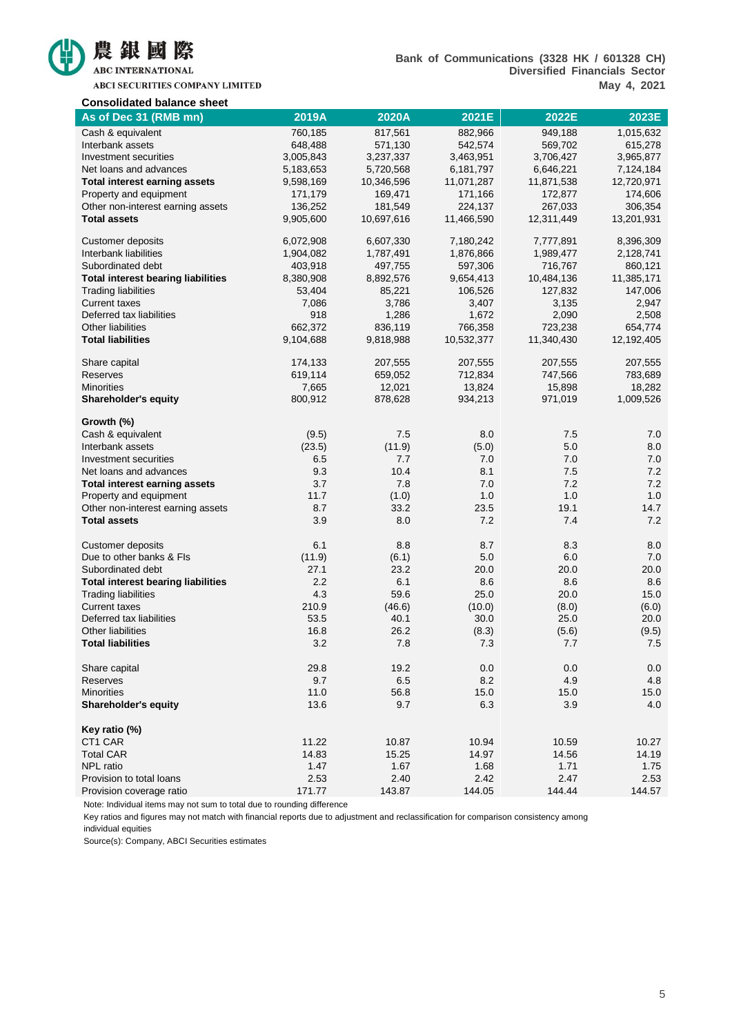

ABCI SECURITIES COMPANY LIMITED

| <b>Consolidated balance sheet</b>         |           |            |            |            |            |
|-------------------------------------------|-----------|------------|------------|------------|------------|
| As of Dec 31 (RMB mn)                     | 2019A     | 2020A      | 2021E      | 2022E      | 2023E      |
| Cash & equivalent                         | 760,185   | 817,561    | 882,966    | 949,188    | 1,015,632  |
| Interbank assets                          | 648,488   | 571,130    | 542,574    | 569,702    | 615,278    |
| Investment securities                     | 3,005,843 | 3,237,337  | 3,463,951  | 3,706,427  | 3,965,877  |
| Net loans and advances                    | 5,183,653 | 5,720,568  | 6,181,797  | 6,646,221  | 7,124,184  |
| <b>Total interest earning assets</b>      | 9,598,169 | 10,346,596 | 11,071,287 | 11,871,538 | 12,720,971 |
| Property and equipment                    | 171,179   | 169,471    | 171,166    | 172,877    | 174,606    |
| Other non-interest earning assets         | 136,252   | 181,549    | 224,137    | 267,033    | 306,354    |
| <b>Total assets</b>                       | 9,905,600 | 10,697,616 | 11,466,590 | 12,311,449 | 13,201,931 |
| <b>Customer deposits</b>                  | 6,072,908 | 6,607,330  | 7,180,242  | 7,777,891  | 8,396,309  |
| Interbank liabilities                     | 1,904,082 | 1,787,491  | 1,876,866  | 1,989,477  | 2,128,741  |
| Subordinated debt                         | 403,918   | 497,755    | 597,306    | 716,767    | 860,121    |
| <b>Total interest bearing liabilities</b> | 8,380,908 | 8,892,576  | 9,654,413  | 10,484,136 | 11,385,171 |
| <b>Trading liabilities</b>                | 53,404    | 85,221     | 106,526    | 127,832    | 147,006    |
| <b>Current taxes</b>                      | 7,086     | 3,786      | 3,407      | 3,135      | 2,947      |
| Deferred tax liabilities                  | 918       | 1,286      | 1,672      | 2,090      | 2,508      |
| Other liabilities                         | 662,372   | 836,119    | 766,358    | 723,238    | 654,774    |
| <b>Total liabilities</b>                  | 9,104,688 | 9,818,988  | 10,532,377 | 11,340,430 | 12,192,405 |
| Share capital                             | 174,133   | 207,555    | 207,555    | 207,555    | 207,555    |
| <b>Reserves</b>                           | 619,114   | 659,052    | 712,834    | 747,566    | 783,689    |
| <b>Minorities</b>                         | 7,665     | 12,021     | 13,824     | 15,898     | 18,282     |
| <b>Shareholder's equity</b>               | 800,912   | 878,628    | 934,213    | 971,019    | 1,009,526  |
| Growth (%)                                |           |            |            |            |            |
| Cash & equivalent                         | (9.5)     | 7.5        | 8.0        | 7.5        | 7.0        |
| Interbank assets                          | (23.5)    | (11.9)     | (5.0)      | 5.0        | 8.0        |
| Investment securities                     | 6.5       | 7.7        | 7.0        | 7.0        | 7.0        |
| Net loans and advances                    | 9.3       | 10.4       | 8.1        | 7.5        | 7.2        |
| <b>Total interest earning assets</b>      | 3.7       | 7.8        | 7.0        | 7.2        | 7.2        |
| Property and equipment                    | 11.7      | (1.0)      | 1.0        | 1.0        | 1.0        |
| Other non-interest earning assets         | 8.7       | 33.2       | 23.5       | 19.1       | 14.7       |
| <b>Total assets</b>                       | 3.9       | 8.0        | 7.2        | 7.4        | 7.2        |
| <b>Customer deposits</b>                  | 6.1       | 8.8        | 8.7        | 8.3        | 8.0        |
| Due to other banks & Fls                  | (11.9)    | (6.1)      | 5.0        | 6.0        | 7.0        |
| Subordinated debt                         | 27.1      | 23.2       | 20.0       | 20.0       | 20.0       |
| <b>Total interest bearing liabilities</b> | 2.2       | 6.1        | 8.6        | 8.6        | 8.6        |
| <b>Trading liabilities</b>                | 4.3       | 59.6       | 25.0       | 20.0       | 15.0       |
| <b>Current taxes</b>                      | 210.9     | (46.6)     | (10.0)     | (8.0)      | (6.0)      |
| Deferred tax liabilities                  | 53.5      | 40.1       | 30.0       | 25.0       | 20.0       |
| Other liabilities                         | 16.8      | 26.2       | (8.3)      | (5.6)      | (9.5)      |
| <b>Total liabilities</b>                  | 3.2       | 7.8        | 7.3        | 7.7        | $7.5$      |
| Share capital                             | 29.8      | 19.2       | 0.0        | 0.0        | 0.0        |
| Reserves                                  | 9.7       | 6.5        | 8.2        | 4.9        | 4.8        |
| <b>Minorities</b>                         | 11.0      | 56.8       | 15.0       | 15.0       | 15.0       |
| <b>Shareholder's equity</b>               | 13.6      | 9.7        | 6.3        | 3.9        | 4.0        |
| Key ratio (%)                             |           |            |            |            |            |
| CT1 CAR                                   | 11.22     | 10.87      | 10.94      | 10.59      | 10.27      |
| <b>Total CAR</b>                          | 14.83     | 15.25      | 14.97      | 14.56      | 14.19      |
| NPL ratio                                 | 1.47      | 1.67       | 1.68       | 1.71       | 1.75       |
| Provision to total loans                  | 2.53      | 2.40       | 2.42       | 2.47       | 2.53       |
| Provision coverage ratio                  | 171.77    | 143.87     | 144.05     | 144.44     | 144.57     |

Note: Individual items may not sum to total due to rounding difference

Key ratios and figures may not match with financial reports due to adjustment and reclassification for comparison consistency among individual equities